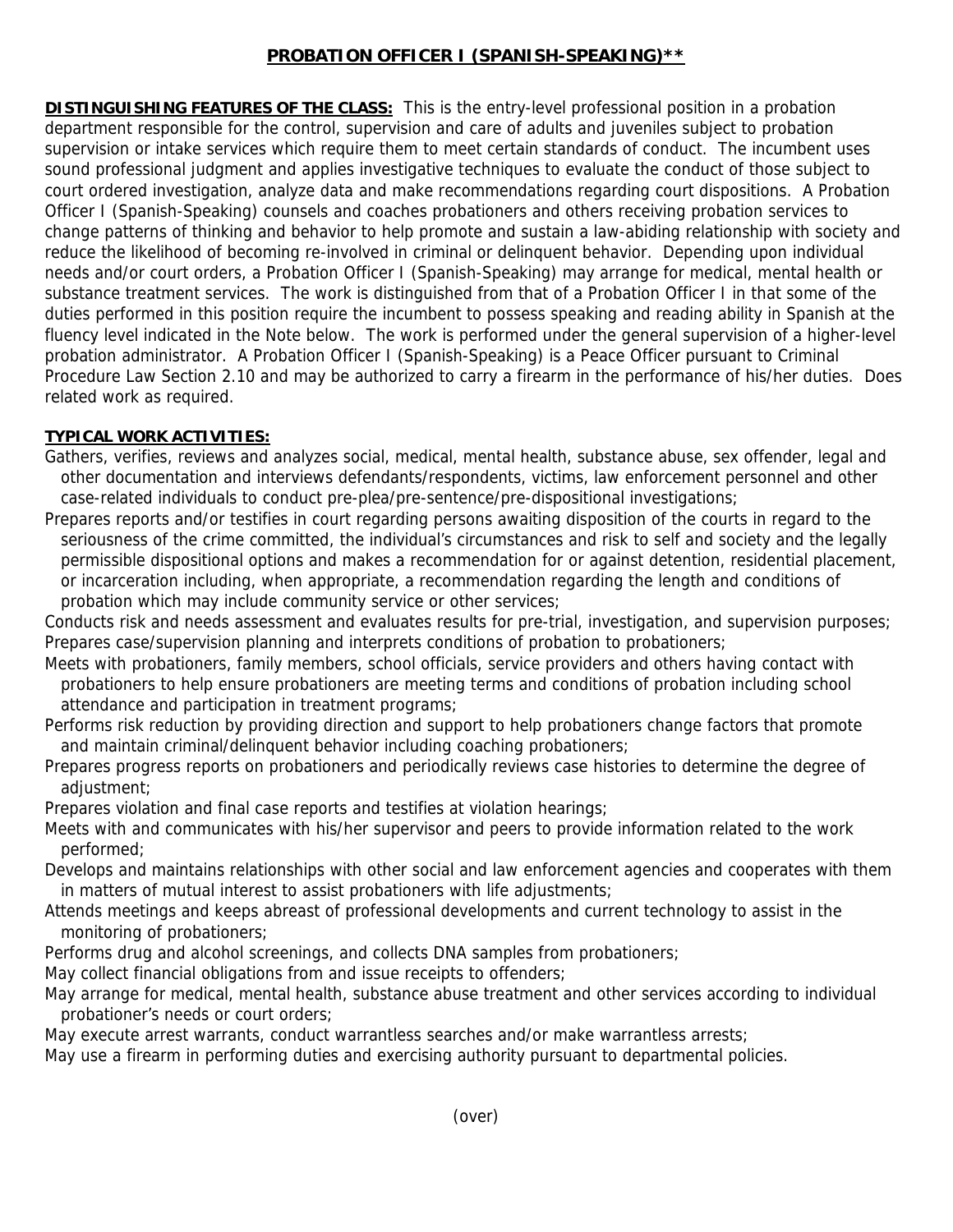# **PROBATION OFFICER I (SPANISH-SPEAKING)\*\***

**DISTINGUISHING FEATURES OF THE CLASS:** This is the entry-level professional position in a probation department responsible for the control, supervision and care of adults and juveniles subject to probation supervision or intake services which require them to meet certain standards of conduct. The incumbent uses sound professional judgment and applies investigative techniques to evaluate the conduct of those subject to court ordered investigation, analyze data and make recommendations regarding court dispositions. A Probation Officer I (Spanish-Speaking) counsels and coaches probationers and others receiving probation services to change patterns of thinking and behavior to help promote and sustain a law-abiding relationship with society and reduce the likelihood of becoming re-involved in criminal or delinquent behavior. Depending upon individual needs and/or court orders, a Probation Officer I (Spanish-Speaking) may arrange for medical, mental health or substance treatment services. The work is distinguished from that of a Probation Officer I in that some of the duties performed in this position require the incumbent to possess speaking and reading ability in Spanish at the fluency level indicated in the Note below. The work is performed under the general supervision of a higher-level probation administrator. A Probation Officer I (Spanish-Speaking) is a Peace Officer pursuant to Criminal Procedure Law Section 2.10 and may be authorized to carry a firearm in the performance of his/her duties. Does related work as required.

## **TYPICAL WORK ACTIVITIES:**

- Gathers, verifies, reviews and analyzes social, medical, mental health, substance abuse, sex offender, legal and other documentation and interviews defendants/respondents, victims, law enforcement personnel and other case-related individuals to conduct pre-plea/pre-sentence/pre-dispositional investigations;
- Prepares reports and/or testifies in court regarding persons awaiting disposition of the courts in regard to the seriousness of the crime committed, the individual's circumstances and risk to self and society and the legally permissible dispositional options and makes a recommendation for or against detention, residential placement, or incarceration including, when appropriate, a recommendation regarding the length and conditions of probation which may include community service or other services;

Conducts risk and needs assessment and evaluates results for pre-trial, investigation, and supervision purposes; Prepares case/supervision planning and interprets conditions of probation to probationers;

- Meets with probationers, family members, school officials, service providers and others having contact with probationers to help ensure probationers are meeting terms and conditions of probation including school attendance and participation in treatment programs;
- Performs risk reduction by providing direction and support to help probationers change factors that promote and maintain criminal/delinquent behavior including coaching probationers;
- Prepares progress reports on probationers and periodically reviews case histories to determine the degree of adjustment;
- Prepares violation and final case reports and testifies at violation hearings;
- Meets with and communicates with his/her supervisor and peers to provide information related to the work performed;
- Develops and maintains relationships with other social and law enforcement agencies and cooperates with them in matters of mutual interest to assist probationers with life adjustments;
- Attends meetings and keeps abreast of professional developments and current technology to assist in the monitoring of probationers;
- Performs drug and alcohol screenings, and collects DNA samples from probationers;
- May collect financial obligations from and issue receipts to offenders;
- May arrange for medical, mental health, substance abuse treatment and other services according to individual probationer's needs or court orders;
- May execute arrest warrants, conduct warrantless searches and/or make warrantless arrests;
- May use a firearm in performing duties and exercising authority pursuant to departmental policies.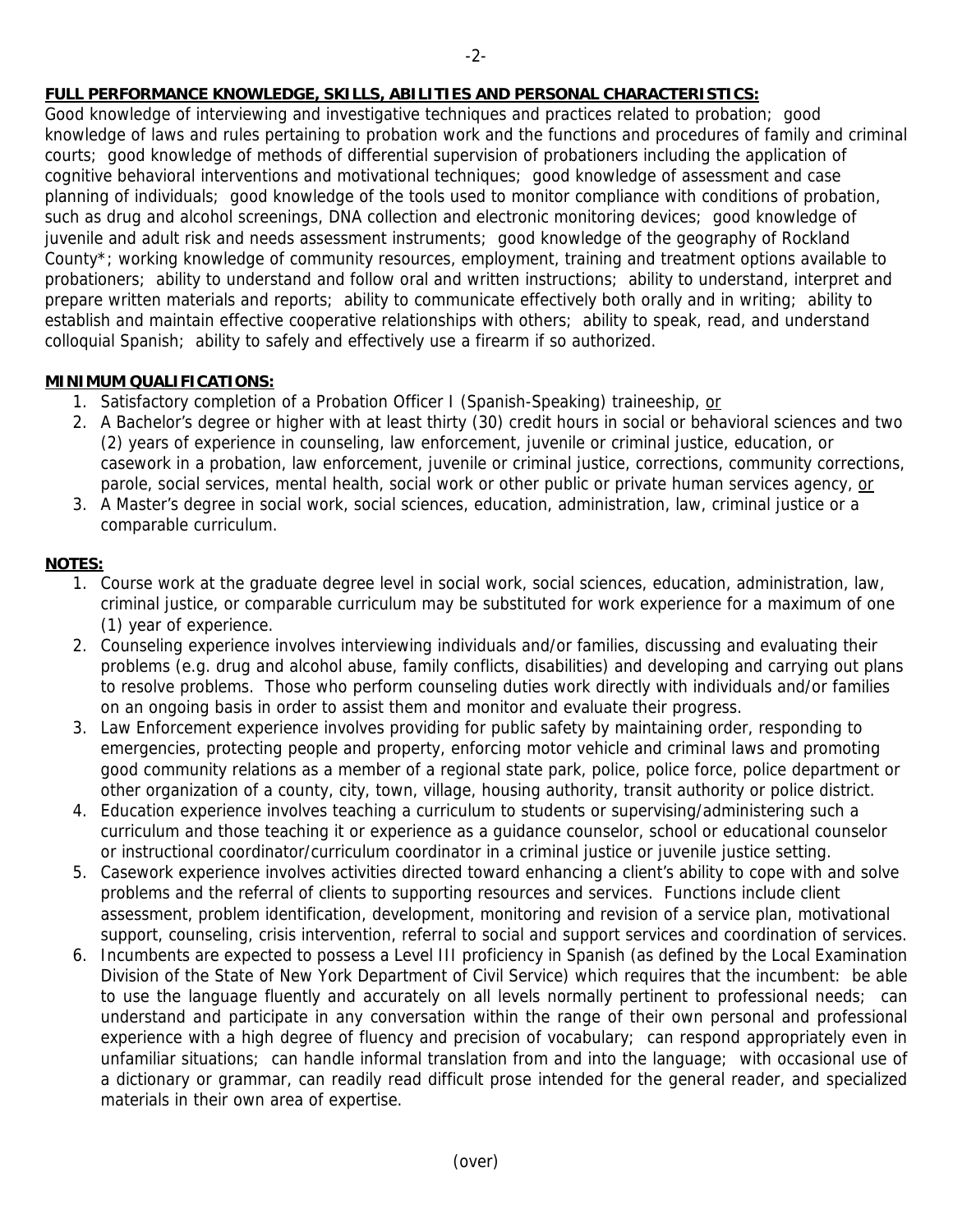# **FULL PERFORMANCE KNOWLEDGE, SKILLS, ABILITIES AND PERSONAL CHARACTERISTICS:**

Good knowledge of interviewing and investigative techniques and practices related to probation; good knowledge of laws and rules pertaining to probation work and the functions and procedures of family and criminal courts; good knowledge of methods of differential supervision of probationers including the application of cognitive behavioral interventions and motivational techniques; good knowledge of assessment and case planning of individuals; good knowledge of the tools used to monitor compliance with conditions of probation, such as drug and alcohol screenings, DNA collection and electronic monitoring devices; good knowledge of juvenile and adult risk and needs assessment instruments; good knowledge of the geography of Rockland County\*; working knowledge of community resources, employment, training and treatment options available to probationers; ability to understand and follow oral and written instructions; ability to understand, interpret and prepare written materials and reports; ability to communicate effectively both orally and in writing; ability to establish and maintain effective cooperative relationships with others; ability to speak, read, and understand colloquial Spanish; ability to safely and effectively use a firearm if so authorized.

### **MINIMUM QUALIFICATIONS:**

- 1. Satisfactory completion of a Probation Officer I (Spanish-Speaking) traineeship, or
- 2. A Bachelor's degree or higher with at least thirty (30) credit hours in social or behavioral sciences and two (2) years of experience in counseling, law enforcement, juvenile or criminal justice, education, or casework in a probation, law enforcement, juvenile or criminal justice, corrections, community corrections, parole, social services, mental health, social work or other public or private human services agency, or
- 3. A Master's degree in social work, social sciences, education, administration, law, criminal justice or a comparable curriculum.

#### **NOTES:**

- 1. Course work at the graduate degree level in social work, social sciences, education, administration, law, criminal justice, or comparable curriculum may be substituted for work experience for a maximum of one (1) year of experience.
- 2. Counseling experience involves interviewing individuals and/or families, discussing and evaluating their problems (e.g. drug and alcohol abuse, family conflicts, disabilities) and developing and carrying out plans to resolve problems. Those who perform counseling duties work directly with individuals and/or families on an ongoing basis in order to assist them and monitor and evaluate their progress.
- 3. Law Enforcement experience involves providing for public safety by maintaining order, responding to emergencies, protecting people and property, enforcing motor vehicle and criminal laws and promoting good community relations as a member of a regional state park, police, police force, police department or other organization of a county, city, town, village, housing authority, transit authority or police district.
- 4. Education experience involves teaching a curriculum to students or supervising/administering such a curriculum and those teaching it or experience as a guidance counselor, school or educational counselor or instructional coordinator/curriculum coordinator in a criminal justice or juvenile justice setting.
- 5. Casework experience involves activities directed toward enhancing a client's ability to cope with and solve problems and the referral of clients to supporting resources and services. Functions include client assessment, problem identification, development, monitoring and revision of a service plan, motivational support, counseling, crisis intervention, referral to social and support services and coordination of services.
- 6. Incumbents are expected to possess a Level III proficiency in Spanish (as defined by the Local Examination Division of the State of New York Department of Civil Service) which requires that the incumbent: be able to use the language fluently and accurately on all levels normally pertinent to professional needs; can understand and participate in any conversation within the range of their own personal and professional experience with a high degree of fluency and precision of vocabulary; can respond appropriately even in unfamiliar situations; can handle informal translation from and into the language; with occasional use of a dictionary or grammar, can readily read difficult prose intended for the general reader, and specialized materials in their own area of expertise.